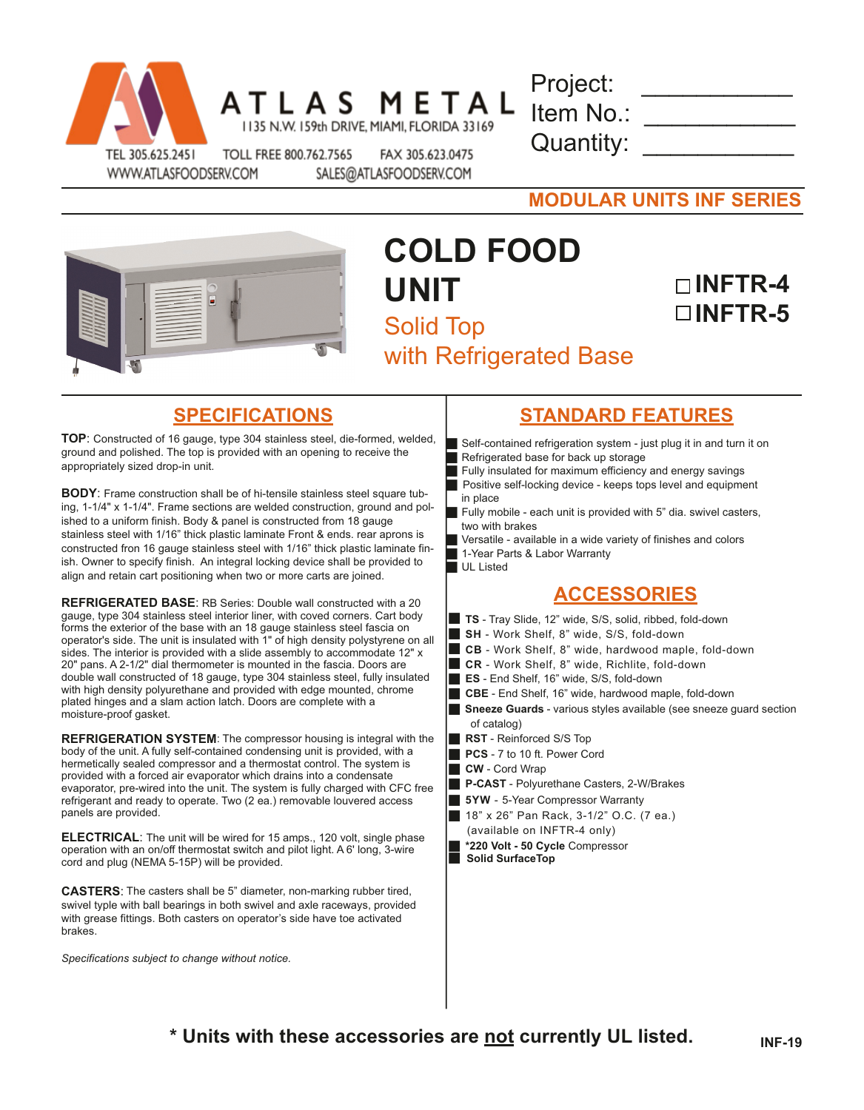

ATLAS METAL 1135 N.W. 159th DRIVE, MIAMI, FLORIDA 33169

Project: Item No.: Quantity:

WWW.ATLASFOODSERV.COM

TOLL FREE 800.762.7565 FAX 305.623.0475 SALES@ATLASFOODSERV.COM

**MODULAR UNITS INF SERIES**



# **COLD FOOD UNIT** Solid Top with Refrigerated Base

## **INFTR-4 INFTR-5**

**TOP**: Constructed of 16 gauge, type 304 stainless steel, die-formed, welded, ground and polished. The top is provided with an opening to receive the appropriately sized drop-in unit.

**BODY**: Frame construction shall be of hi-tensile stainless steel square tubing, 1-1/4" x 1-1/4". Frame sections are welded construction, ground and polished to a uniform finish. Body & panel is constructed from 18 gauge stainless steel with 1/16" thick plastic laminate Front & ends. rear aprons is constructed fron 16 gauge stainless steel with 1/16" thick plastic laminate finish. Owner to specify finish. An integral locking device shall be provided to align and retain cart positioning when two or more carts are joined.

**REFRIGERATED BASE**: RB Series: Double wall constructed with a 20 gauge, type 304 stainless steel interior liner, with coved corners. Cart body forms the exterior of the base with an 18 gauge stainless steel fascia on operator's side. The unit is insulated with 1" of high density polystyrene on all sides. The interior is provided with a slide assembly to accommodate 12" x 20" pans. A 2-1/2" dial thermometer is mounted in the fascia. Doors are double wall constructed of 18 gauge, type 304 stainless steel, fully insulated with high density polyurethane and provided with edge mounted, chrome plated hinges and a slam action latch. Doors are complete with a moisture-proof gasket.

**REFRIGERATION SYSTEM**: The compressor housing is integral with the body of the unit. A fully self-contained condensing unit is provided, with a hermetically sealed compressor and a thermostat control. The system is provided with a forced air evaporator which drains into a condensate evaporator, pre-wired into the unit. The system is fully charged with CFC free refrigerant and ready to operate. Two (2 ea.) removable louvered access panels are provided.

**ELECTRICAL**: The unit will be wired for 15 amps., 120 volt, single phase operation with an on/off thermostat switch and pilot light. A 6' long, 3-wire cord and plug (NEMA 5-15P) will be provided.

**CASTERS**: The casters shall be 5" diameter, non-marking rubber tired, swivel typle with ball bearings in both swivel and axle raceways, provided with grease fittings. Both casters on operator's side have toe activated brakes.

*Specifications subject to change without notice.*

### **SPECIFICATIONS STANDARD FEATURES**

- Self-contained refrigeration system just plug it in and turn it on Refrigerated base for back up storage
- Fully insulated for maximum efficiency and energy savings
- **Positive self-locking device keeps tops level and equipment** in place
- Fully mobile each unit is provided with  $5$ " dia. swivel casters, two with brakes
- Versatile available in a wide variety of finishes and colors
- 1-Year Parts & Labor Warranty
- UL Listed

### **ACCESSORIES**

- **TS** Tray Slide, 12" wide, S/S, solid, ribbed, fold-down
- **SH** Work Shelf, 8" wide, S/S, fold-down
- **CB** Work Shelf, 8" wide, hardwood maple, fold-down
- **CR** Work Shelf, 8" wide, Richlite, fold-down
- **ES** End Shelf, 16" wide, S/S, fold-down
- **CBE** End Shelf, 16" wide, hardwood maple, fold-down
- **Sneeze Guards** various styles available (see sneeze quard section of catalog)
- **RST** Reinforced S/S Top
- **PCS** 7 to 10 ft. Power Cord
- **CW** Cord Wrap
- **P-CAST** Polyurethane Casters, 2-W/Brakes
- **5YW** 5-Year Compressor Warranty
- **18"** x 26" Pan Rack, 3-1/2" O.C. (7 ea.)
	- (available on INFTR-4 only)
- g **\*220 Volt 50 Cycle** Compressor **Solid SurfaceTop**